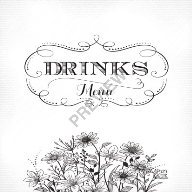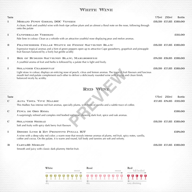# WHITE WINE

| Taste        |                                                                                                                                                                                                                                                                                 | 175ml             | 250 <sub>ml</sub> | <b>Bottle</b>      |
|--------------|---------------------------------------------------------------------------------------------------------------------------------------------------------------------------------------------------------------------------------------------------------------------------------|-------------------|-------------------|--------------------|
|              |                                                                                                                                                                                                                                                                                 |                   |                   |                    |
| 1            | MORAJO PINOT GRIGIO, DOC VENEZIE<br>A clean, fresh and youthful wine with fresh ripe yellow plum and an almost a floral note on the nose, following through<br>onto the palate                                                                                                  |                   |                   | £6.50 £7.25 £20.00 |
| 1            | <b>CANFORRALES VERDEJO</b>                                                                                                                                                                                                                                                      |                   |                   | £21.00             |
|              | Pale lime in colour. Clean as a whistle with an attractive youthful nose displaying pear and melon aromas.                                                                                                                                                                      |                   |                   |                    |
| $\mathbf{2}$ | FRANSCHHOEK CELLAR STATUE DE FEMME SAUVIGNON BLANC                                                                                                                                                                                                                              |                   |                   | £6.50 £7.25 £20.00 |
|              | Expressive tropical aromas and a hint of green peppers open up to attractive Cape gooseberry, grapefruit and pineapple<br>fruit flavours balanced by a lively but gentle acidity                                                                                                |                   |                   |                    |
| 1            | BOX OF BUDGIES SAUVIGNON BLANC, MARLBOROUGH                                                                                                                                                                                                                                     |                   |                   | £8,50 £9.25 £26.00 |
|              | A youthful aroma of fruit and herbs is followed by a palate that is light and lively.                                                                                                                                                                                           |                   |                   |                    |
| 1            | <b>SOLANDER CHARDONNAY</b>                                                                                                                                                                                                                                                      |                   |                   | £6.50 £7.25 £20.00 |
|              | Light straw in colour, displays an enticing nose of peach, citrus and lemon aromas. The tropical fruit flavours and luscious<br>mouth feel mid-palate complement each other to deliver a deliciously rounded wine with a crisp and clean finish,<br>balanced nicely by acidity. |                   |                   |                    |
|              | RED WINE                                                                                                                                                                                                                                                                        |                   |                   |                    |
| Taste        |                                                                                                                                                                                                                                                                                 | 175 <sub>ml</sub> | 250 <sub>ml</sub> | <b>Bottle</b>      |
| €            | ALTA VISTA 'VIVE' MALBEC                                                                                                                                                                                                                                                        |                   |                   | £7.25 £8.25 £21.00 |
|              | This Malbec has intense red fruit aromas, specially plums, with hints of vanilla and a subtle trace of coffee.                                                                                                                                                                  |                   |                   |                    |
| $\mathbb{C}$ | FINCA DE ORO RIOJA                                                                                                                                                                                                                                                              |                   |                   | £26.00             |
|              | A surprisingly refined and complex mid bodied red wine, showing dark fruit, spice and oak aromas.                                                                                                                                                                               |                   |                   |                    |
| €            | <b>SOLANDER SHIRAZ</b>                                                                                                                                                                                                                                                          |                   |                   | £6.50 £7.25 £20.00 |
|              | Soft and fruity with spicy dark berry fruit flavours                                                                                                                                                                                                                            |                   |                   |                    |
| 1            | DESIRE LUSH & ZIN PRIMITIVO PUGLIA IGT                                                                                                                                                                                                                                          |                   |                   | £28.00             |
|              | A wine with a deep ruby red color; a warm nose that reveals intense aromas of plums, red fruit, spicy notes, vanilla,<br>coffee and cocoa. On the palate, it is warm and round, full body and tannins are soft and velvety.                                                     |                   |                   |                    |
| в            | CARTA23 MERLOT                                                                                                                                                                                                                                                                  |                   |                   | £6.50 £7.25 £20.00 |

Smooth and juicy with classic dark plummy Merlot fruit.

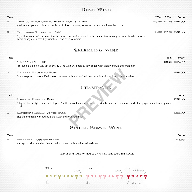# Rosé Wine

| <b>Bottle</b>      |
|--------------------|
| £6.50 £7.25 £20.00 |
|                    |
| £6.50 £7.25 £20.00 |
|                    |
|                    |

## Sparkling Wine

| Taste        |                                                                                                                 | 125ml | <b>Bottle</b> |
|--------------|-----------------------------------------------------------------------------------------------------------------|-------|---------------|
|              | VIGNANA PROSECCO                                                                                                |       | £6.75 £28.00  |
|              | Prosecco is a deliciously dry sparkling wine with crisp acidity, low sugar, with plenty of fruit and character. |       |               |
| $\mathbf{4}$ | VIGNANA PROSECCO ROSE                                                                                           |       | £29.00        |
|              | Pale rose pink in colour. Delicate on the nose with a hint of red fruit. Medium-dry and juicy on the palate.    |       |               |

# CHAMPAGNE

| $\mathbf{4}$ | VIGNANA PROSECCO ROSE                                                                                                                                   | £29.00        |
|--------------|---------------------------------------------------------------------------------------------------------------------------------------------------------|---------------|
|              | Pale rose pink in colour. Delicate on the nose with a hint of red fruit. Medium-dry and juicy on the palate.                                            |               |
|              |                                                                                                                                                         |               |
|              | CHAMPAGNE                                                                                                                                               |               |
|              |                                                                                                                                                         |               |
| Taste        |                                                                                                                                                         | <b>Bottle</b> |
|              | LAURENT PERRIER BRUT                                                                                                                                    | £80.00        |
|              | A lighter house style; fresh and elegant. Subtle citrus, toast and spice are perfectly balanced in a structured Champagne, ideal to enjoy with<br>food. |               |
| 1            | <b>LAURENT PERRIER CUVEÉ ROSÉ</b>                                                                                                                       | £95.00        |
|              | Elegant and fresh with red fruit character and rounded finish.                                                                                          |               |
|              |                                                                                                                                                         |               |
|              |                                                                                                                                                         |               |
|              | Quero e un Quebardo Maluerio                                                                                                                            |               |

## Single Serve Wine

2 Freixenet 0% sparkling A crisp and sherbety fizz .that is medium sweet with a balanced freshness

#### 125ml serves are available on wines served by the glass.



Taste and the state Bottle Bottle and the state of the state and the state Bottle Bottle Bottle Bottle Bottle £3.85